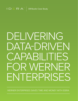

# DELIVERING DATA-DRIVEN CAPABILITIES FOR WERNER ENTERPRISES

WERNER ENTERPRISES SAVES TIME AND MONEY WITH IDERA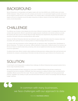#### BACKGROUND

Werner Enterprises is a transportation and logistics leader with more than 8,000 trucks, 24,000 trailers and nearly 13,000 employees. Today, 65 years since the company was founded, it is an asset-based logistics provider and one of the five largest truckload carriers in the United States. The company offers a diversified portfolio of transportation and logistics services to companies around the globe, backed by an alliance network of more than 26,000 carriers and ocean, air and rail providers.

## CHALLENGE

The effective use of mission-critical datasets sits at the heart of Werner's business model. In managing their diverse and complex data requirements, Werner's specialist team applies bespoke classification and retention policies to provide the business with easy access to relevant data and insight. Working across departments, they prioritize the need to streamline information while also providing effective data visibility.

However, the Werner Enterprises data team was looking for ways to make information about the company's data more accessible, with a particular focus on reducing reliance on tribal knowledge within the business.

"In common with many businesses, we face challenges with our approach to data," said Patrick Rock, Data Modeler at Werner Enterprises. "For instance, we may have different definitions of data points in different areas of our business, but this has an impact on what the data ends up meaning, what rules are applied and where key areas of knowledge exist across the organization."

To address these issues, Werner needed a data modeling and data governance catalog solution that could harmonize and standardize the company's understanding of information and data and become a go-to reference for all business users.

### SOLUTION

 $\bigcap$ 

In searching for a technology partner to address these challenges, the Werner Enterprises team assessed solutions from a diverse range of potential providers.

But having downloaded and been impressed by a trial version of IDERA's ER/Studio Data Architect modeling and management tool and an evaluation of ER/Studio Team Server governance catalog, the Werner team concluded that the capabilities offered a precise fit for their needs. "We were aware of IDERA's good reputation and having assessed both products' capabilities very carefully, we quite soon discovered that it met all our criteria in one package while also fitting our budget," said Rock.

> In common with many businesses, we face challenges with our approach to data

> > Patrick Rock **Data Modeler at Werner**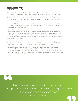#### **BENEFITS**

By implementing ER/Studio Data Architect and Team Server, Werner Enterprises has delivered a range of benefits to the business. Their data management capabilities have significantly improved. One team has built comprehensive and structured models of data assets and another business unit developed glossaries to standardize language and provide a mechanism for consumer data discovery. This promotes better communication and productivity and delivers a platform for data democratization. This has also helped optimize and accelerate the process of onboarding new employees.

"Working with IDERA has allowed us to push even further towards data being an enabler in our business," said Rock. "Data discovery is easier and all movement of data, from inputting to tracking, is agile enough for us to keep numerous plates spinning at the same time."

ER/Studio Team Server has also helped Werner to track and clarify data definitions and develop a one-stop-shop approach to data archiving. The business has reduced risks stemming from miscommunication, improved its understanding of data sensibility and value while streamlining processes and optimizing data visibility. "With the new Team Server update, we have an easy-to-understand visualization for how related terms and tables connect. It is a fast way to track the connections without having to go through multiple page clicks, said Natasha Freeland, Data Analyst at Werner Enterprises.

"Overall, everything from the installation process and product support to the impact we're getting from IDERA has far exceeded our expectations," explained Rock. "The installation process, for example, was extremely simple - we downloaded the product, watched a couple of videos on IDERA's site, then we were on our way."

Looking ahead, Werner Enterprises plans to expand their use of ER/Studio Team Server to add new data sources and applications. By consolidating more data models and business terms, the team aims to build on the improvements they have seen in communication as part of a wider education process for the whole company. And by harmonizing language and terminology to allow their systems to communicate properly, they aim to implement the solution across all 70 of their existing data models.

 $\bigcap$ 

Overall, everything from the installation process and product support to the impact we're getting from IDERA has far exceeded our expectations

Patrick Rock **Data Modeler at Werner**